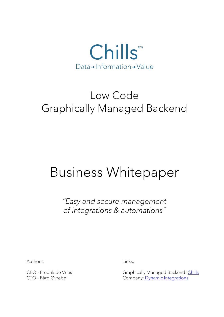

## Low Code Graphically Managed Backend

# Business Whitepaper

*"Easy and secure management of integrations & automations"*

Authors: Links:

CEO - Fredrik de Vries CEO - Fredrik de Vries Graphically Managed Backend: [Chills](https://www.chills.cloud/) CTO - Bård Øvrebø Company: [Dynamic Integrations](https://www.dynamic-integrations.net/)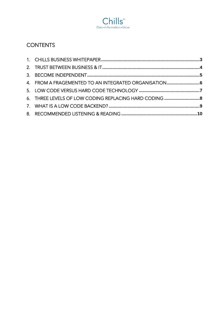

## **CONTENTS**

| 4. FROM A FRAGEMENTED TO AN INTEGRATED ORGANISATION6   |  |
|--------------------------------------------------------|--|
|                                                        |  |
| 6. THREE LEVELS OF LOW CODING REPLACING HARD CODING  8 |  |
|                                                        |  |
|                                                        |  |
|                                                        |  |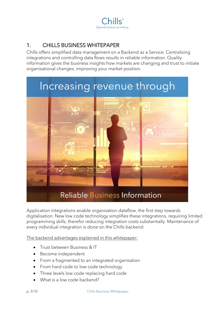

## <span id="page-2-0"></span>1. CHILLS BUSINESS WHITEPAPER

Chills offers simplified data management on a Backend as a Service. Centralising integrations and controlling data flows results in reliable information. Quality information gives the business insights how markets are changing and trust to initiate organisational changes, improving your market position.



Application integrations enable organisation dataflow, the first step towards digitalisation. New low code technology simplifies these integrations, requiring limited programming skills, therefor reducing integration costs substantially. Maintenance of every individual integration is done on the Chills backend.

The backend advantages explained in this whitepaper:

- Trust between Business & IT
- Become independent
- From a fragmented to an integrated organisation
- From hard code to low code technology
- Three levels low code replacing hard code
- What is a low code backend?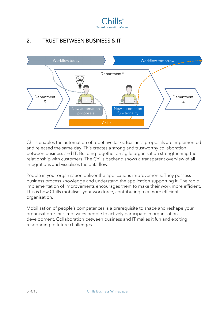

## <span id="page-3-0"></span>2. TRUST BETWEEN BUSINESS & IT



Chills enables the automation of repetitive tasks. Business proposals are implemented and released the same day. This creates a strong and trustworthy collaboration between business and IT. Building together an agile organisation strengthening the relationship with customers. The Chills backend shows a transparent overview of all integrations and visualises the data flow.

People in your organisation deliver the applications improvements. They possess business process knowledge and understand the application supporting it. The rapid implementation of improvements encourages them to make their work more efficient. This is how Chills mobilises your workforce, contributing to a more efficient organisation.

Mobilisation of people's competences is a prerequisite to shape and reshape your organisation. Chills motivates people to actively participate in organisation development. Collaboration between business and IT makes it fun and exciting responding to future challenges.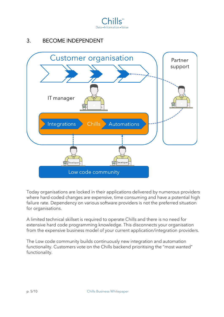

## <span id="page-4-0"></span>3. BECOME INDEPENDENT



Today organisations are locked in their applications delivered by numerous providers where hard-coded changes are expensive, time consuming and have a potential high failure rate. Dependency on various software providers is not the preferred situation for organisations.

A limited technical skillset is required to operate Chills and there is no need for extensive hard code programming knowledge. This disconnects your organisation from the expensive business model of your current application/integration providers.

The Low code community builds continuously new integration and automation functionality. Customers vote on the Chills backend prioritising the "most wanted" functionality.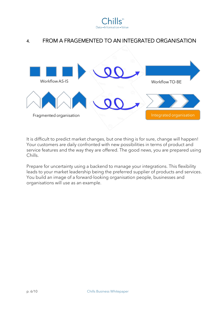

### <span id="page-5-0"></span>4. FROM A FRAGEMENTED TO AN INTEGRATED ORGANISATION



It is difficult to predict market changes, but one thing is for sure, change will happen! Your customers are daily confronted with new possibilities in terms of product and service features and the way they are offered. The good news, you are prepared using Chills.

Prepare for uncertainty using a backend to manage your integrations. This flexibility leads to your market leadership being the preferred supplier of products and services. You build an image of a forward-looking organisation people, businesses and organisations will use as an example.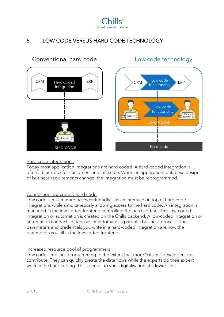

## <span id="page-6-0"></span>5. LOW CODE VERSUS HARD CODE TECHNOLOGY



#### Hard code integrations

Today most application integrations are hard coded. A hard-coded integration is often a black box for customers and inflexible. When an application, database design or business requirements change, the integration must be reprogrammed.

#### Connection low code & hard code

Low code is much more *business* friendly. It is an interface on top of hard code integrations while simultaneously allowing access to the hard code. An integration is managed in the low-coded frontend controlling the hard-coding. This low-coded integration or automation is created on the Chills backend. A low-coded integration or automation connects databases or automates a part of a business process. The parameters and credentials you write in a hard-coded integration are now the parameters you fill in the low-coded frontend.

#### Increased resource pool of programmers

Low code simplifies programming to the extent that more "citizen" developers can contribute. They can quickly create the data flows while the experts do their expert work in the hard coding. This speeds up your digitalisation at a lower cost.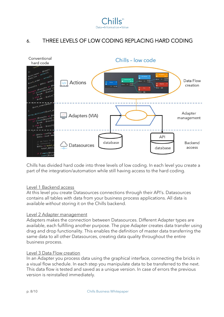

## <span id="page-7-0"></span>6. THREE LEVELS OF LOW CODING REPLACING HARD CODING



Chills has divided hard code into three levels of low coding. In each level you create a part of the integration/automation while still having access to the hard coding.

#### Level 1 Backend access

At this level you create Datasources connections through their API's. Datasources contains all tables with data from your business process applications. All data is available *without* storing it on the Chills backend.

#### Level 2 Adapter management

Adapters makes the connection between Datasources. Different Adapter types are available, each fulfilling another purpose. The pipe Adapter creates data transfer using drag and drop functionality. This enables the definition of master data transferring the same data to all other Datasources, creating data quality throughout the entire business process.

#### Level 3 Data Flow creation

In an Adapter you process data using the graphical interface, connecting the bricks in a visual flow schedule. In each step you manipulate data to be transferred to the next. This data flow is tested and saved as a unique version. In case of errors the previous version is reinstalled immediately.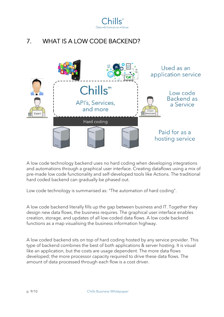

## <span id="page-8-0"></span>7. WHAT IS A LOW CODE BACKEND?



A low code technology backend uses no hard coding when developing integrations and automations through a graphical user interface. Creating dataflows using a mix of pre-made low code functionality and self-developed tools like Actions. The traditional hard coded backend can gradually be phased out.

Low code technology is summarised as: "The automation of hard coding".

A low code backend literally fills up the gap between business and IT. Together they design new data flows, the business requires. The graphical user interface enables creation, storage, and updates of all low-coded data flows. A low code backend functions as a map visualising the business information highway.

A low coded backend sits on top of hard coding hosted by any service provider. This type of backend combines the best of both applications & server hosting. It is visual like an application, but the costs are usage dependent. The more data flows developed; the more processor capacity required to drive these data flows. The amount of data processed through each flow is a cost driver.